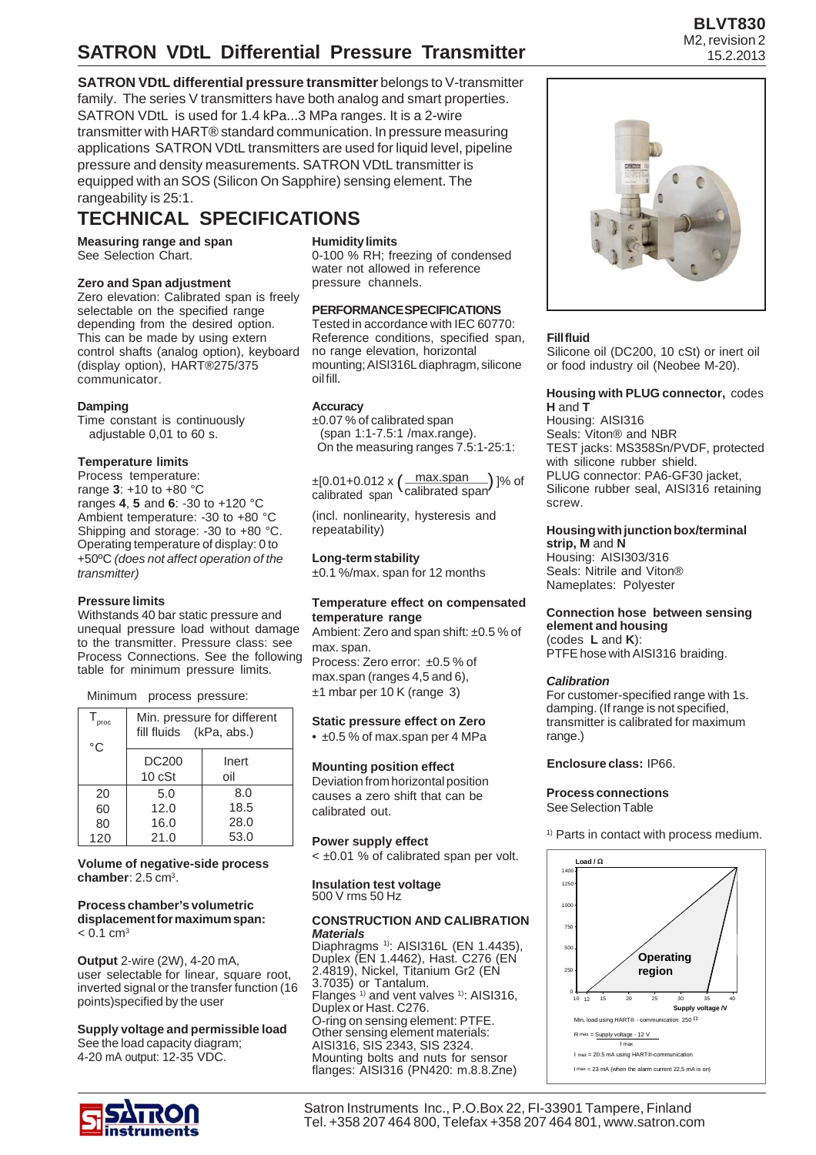**SATRON VDtL differential pressure transmitter** belongs to V-transmitter family. The series V transmitters have both analog and smart properties. SATRON VDtL is used for 1.4 kPa...3 MPa ranges. It is a 2-wire transmitter with HART® standard communication. In pressure measuring applications SATRON VDtL transmitters are used for liquid level, pipeline pressure and density measurements. SATRON VDtL transmitter is equipped with an SOS (Silicon On Sapphire) sensing element. The rangeability is 25:1.

# **TECHNICAL SPECIFICATIONS**

**Measuring range and span** See Selection Chart.

### **Zero and Span adjustment**

Zero elevation: Calibrated span is freely selectable on the specified range depending from the desired option. This can be made by using extern control shafts (analog option), keyboard (display option), HART®275/375 communicator.

#### **Damping**

Time constant is continuously adjustable 0,01 to 60 s.

### **Temperature limits**

Process temperature: range **3**: +10 to +80 °C ranges **4**, **5** and **6**: -30 to +120 °C Ambient temperature: -30 to +80 °C Shipping and storage: -30 to +80 °C. Operating temperature of display: 0 to +50ºC *(does not affect operation of the transmitter)*

#### **Pressure limits**

Withstands 40 bar static pressure and unequal pressure load without damage to the transmitter. Pressure class: see Process Connections. See the following table for minimum pressure limits.

Minimum process pressure:

| proc<br>°C | Min. pressure for different<br>fill fluids (kPa, abs.) |              |  |  |  |
|------------|--------------------------------------------------------|--------------|--|--|--|
|            | <b>DC200</b><br>10 cSt                                 | Inert<br>oil |  |  |  |
| 20         | 5.0                                                    | 8.0          |  |  |  |
| 60         | 12.0                                                   | 18.5         |  |  |  |
| 80         | 16.0                                                   | 28.0         |  |  |  |
| 120        | 21.0                                                   | 53.0         |  |  |  |

**Volume of negative-side process chamber**: 2.5 cm3.

#### **Process chamber's volumetric displacement for maximum span:**  $< 0.1$  cm<sup>3</sup>

**Output** 2-wire (2W), 4-20 mA, user selectable for linear, square root, inverted signal or the transfer function (16 points)specified by the user

**Supply voltage and permissible load** See the load capacity diagram; 4-20 mA output: 12-35 VDC.



### **Humidity limits**

0-100 % RH; freezing of condensed water not allowed in reference pressure channels.

## **PERFORMANCE SPECIFICATIONS**

Tested in accordance with IEC 60770: Reference conditions, specified span, no range elevation, horizontal mounting; AISI316L diaphragm, silicone oil fill.

### **Accuracy**

±0.07 % of calibrated span (span 1:1-7.5:1 /max.range). On the measuring ranges 7.5:1-25:1:

max.span calibrated span ±[0.01+0.012 x ]% of ( ) calibrated span

(incl. nonlinearity, hysteresis and repeatability)

### **Long-term stability**

±0.1 %/max. span for 12 months

#### **Temperature effect on compensated temperature range**

Ambient: Zero and span shift: ±0.5 % of max. span. Process: Zero error: ±0.5 % of max.span (ranges 4,5 and 6),

±1 mbar per 10 K (range 3)

**Static pressure effect on Zero** • ±0.5 % of max.span per 4 MPa

### **Mounting position effect**

Deviation from horizontal position causes a zero shift that can be calibrated out.

#### **Power supply effect**

< ±0.01 % of calibrated span per volt.

**Insulation test voltage** 500 V rms 50 Hz

#### **CONSTRUCTION AND CALIBRATION** *Materials*

Diaphragms 1): AISI316L (EN 1.4435), Duplex (EN 1.4462), Hast. C276 (EN 2.4819), Nickel, Titanium Gr2 (EN 3.7035) or Tantalum. Flanges<sup>1)</sup> and vent valves<sup>1)</sup>: AISI316, Duplex or Hast. C276. O-ring on sensing element: PTFE. Other sensing element materials: AISI316, SIS 2343, SIS 2324. Mounting bolts and nuts for sensor flanges: AISI316 (PN420: m.8.8.Zne)

### **Fill fluid**

Silicone oil (DC200, 10 cSt) or inert oil or food industry oil (Neobee M-20).

#### **Housing with PLUG connector,** codes **H** and **T**

Housing: AISI316 Seals: Viton® and NBR TEST jacks: MS358Sn/PVDF, protected with silicone rubber shield. PLUG connector: PA6-GF30 jacket, Silicone rubber seal, AISI316 retaining screw.

#### **Housing with junction box/terminal strip, M** and **N**

Housing: AISI303/316 Seals: Nitrile and Viton® Nameplates: Polyester

#### **Connection hose between sensing element and housing** (codes **L** and **K**): PTFE hose with AISI316 braiding.

#### *Calibration*

For customer-specified range with 1s. damping. (If range is not specified, transmitter is calibrated for maximum range.)

**Enclosure class:** IP66.

#### **Process connections** See Selection Table

1) Parts in contact with process medium.

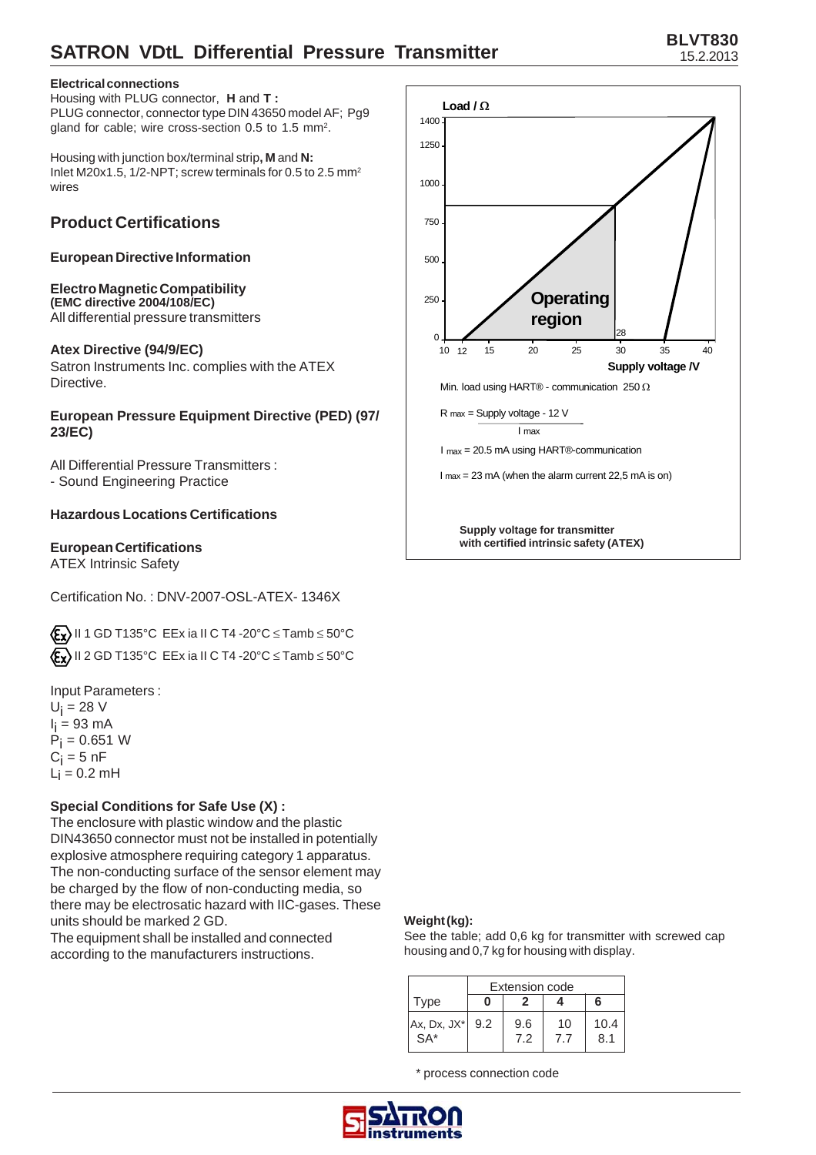## **Electrical connections**

Housing with PLUG connector, **H** and **T :** PLUG connector, connector type DIN 43650 model AF; Pg9 gland for cable; wire cross-section 0.5 to 1.5 mm<sup>2</sup>.

Housing with junction box/terminal strip**, M** and **N:** Inlet M20x1.5, 1/2-NPT; screw terminals for 0.5 to 2.5 mm2 wires

# **Product Certifications**

## **European Directive Information**

#### **Electro Magnetic Compatibility (EMC directive 2004/108/EC)** All differential pressure transmitters

## **Atex Directive (94/9/EC)**

Satron Instruments Inc. complies with the ATEX Directive.

## **European Pressure Equipment Directive (PED) (97/ 23/EC)**

All Differential Pressure Transmitters : - Sound Engineering Practice

# **Hazardous Locations Certifications**

## **European Certifications**

ATEX Intrinsic Safety

Certification No. : DNV-2007-OSL-ATEX- 1346X

 $\langle E_{\mathbf{X}} \rangle$  II 1 GD T135°C EEx ia II C T4 -20°C  $\leq$  Tamb  $\leq$  50°C  $\langle \mathbf{F}_{\mathbf{X}} \rangle$  II 2 GD T135°C EEx ia II C T4 -20°C  $\leq$  Tamb  $\leq$  50°C

Input Parameters :  $U_i = 28$  V l<sub>i</sub> = 93 mA  $P_i = 0.651 W$  $\mathrm{C_{i}}$  = 5 nF  $L_i = 0.2$  mH

# **Special Conditions for Safe Use (X) :**

The enclosure with plastic window and the plastic DIN43650 connector must not be installed in potentially explosive atmosphere requiring category 1 apparatus. The non-conducting surface of the sensor element may be charged by the flow of non-conducting media, so there may be electrosatic hazard with IIC-gases. These units should be marked 2 GD.

The equipment shall be installed and connected according to the manufacturers instructions.



## **Weight (kg):**

See the table; add 0,6 kg for transmitter with screwed cap housing and 0,7 kg for housing with display.

|                          | <b>Extension code</b> |            |           |             |  |  |
|--------------------------|-----------------------|------------|-----------|-------------|--|--|
| Type                     |                       |            |           | ุค          |  |  |
| Ax, Dx, JX* 9.2<br>$SA*$ |                       | 9.6<br>7.2 | 10<br>7.7 | 10.4<br>8.1 |  |  |

\* process connection code

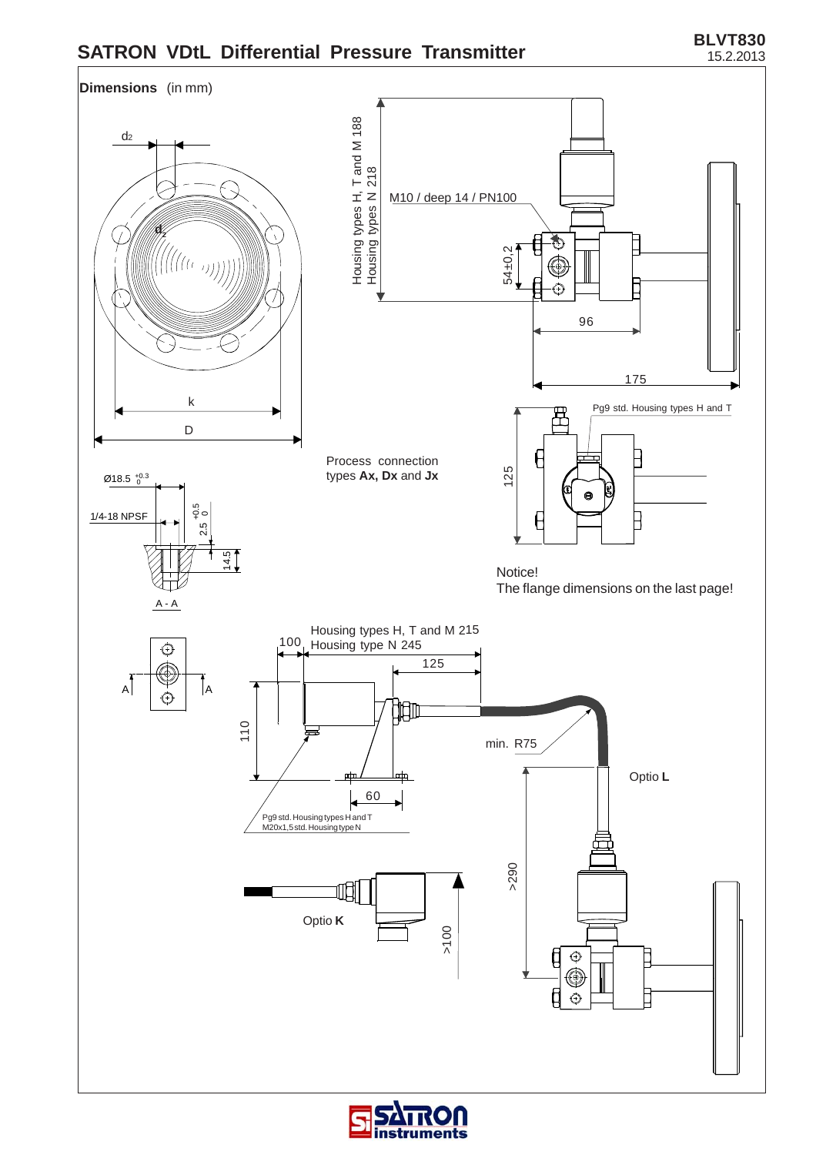**BLVT830** 15.2.2013



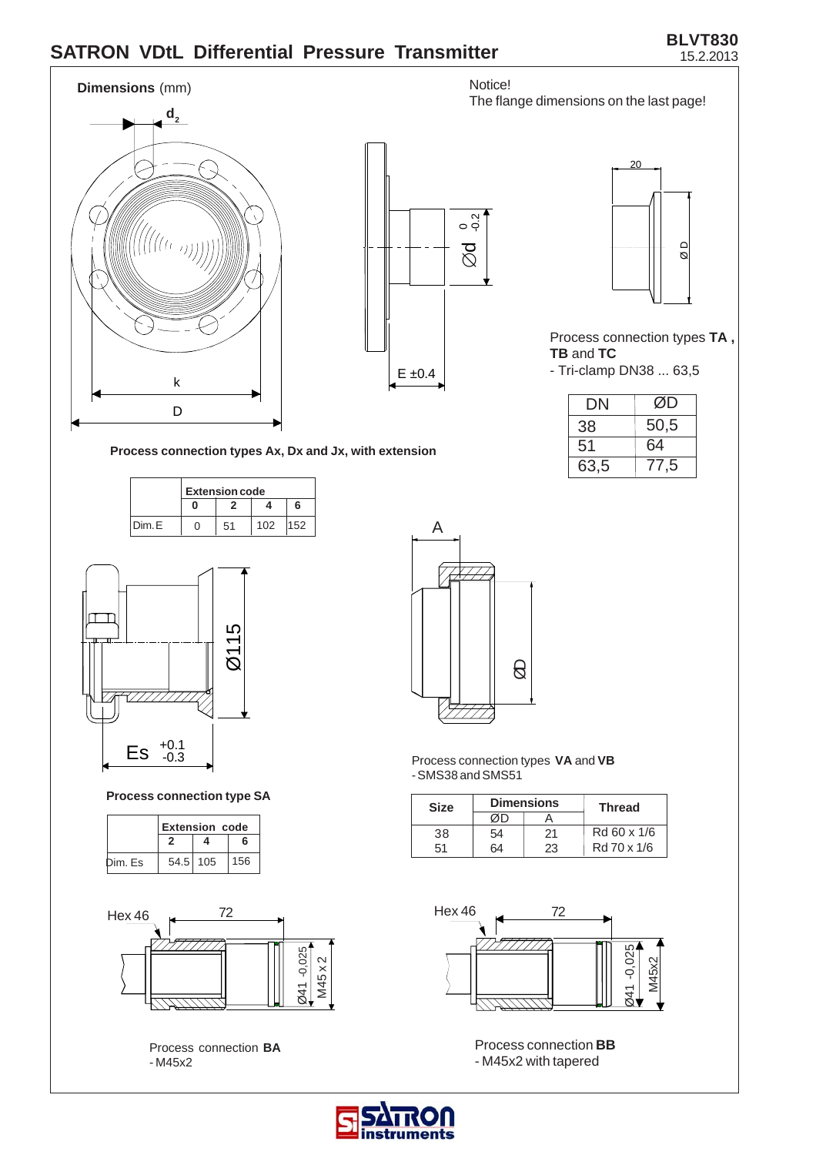### **BLVT830** 15.2.2013



**struments**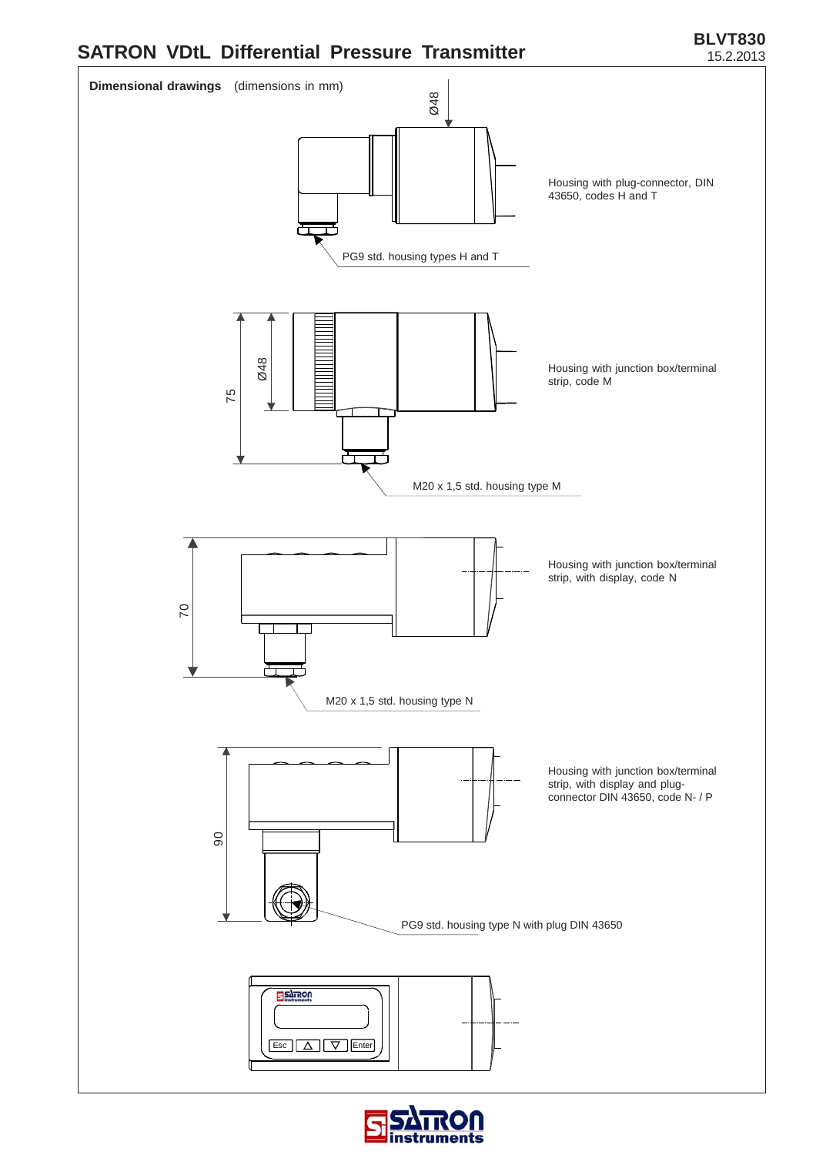



![](_page_4_Picture_3.jpeg)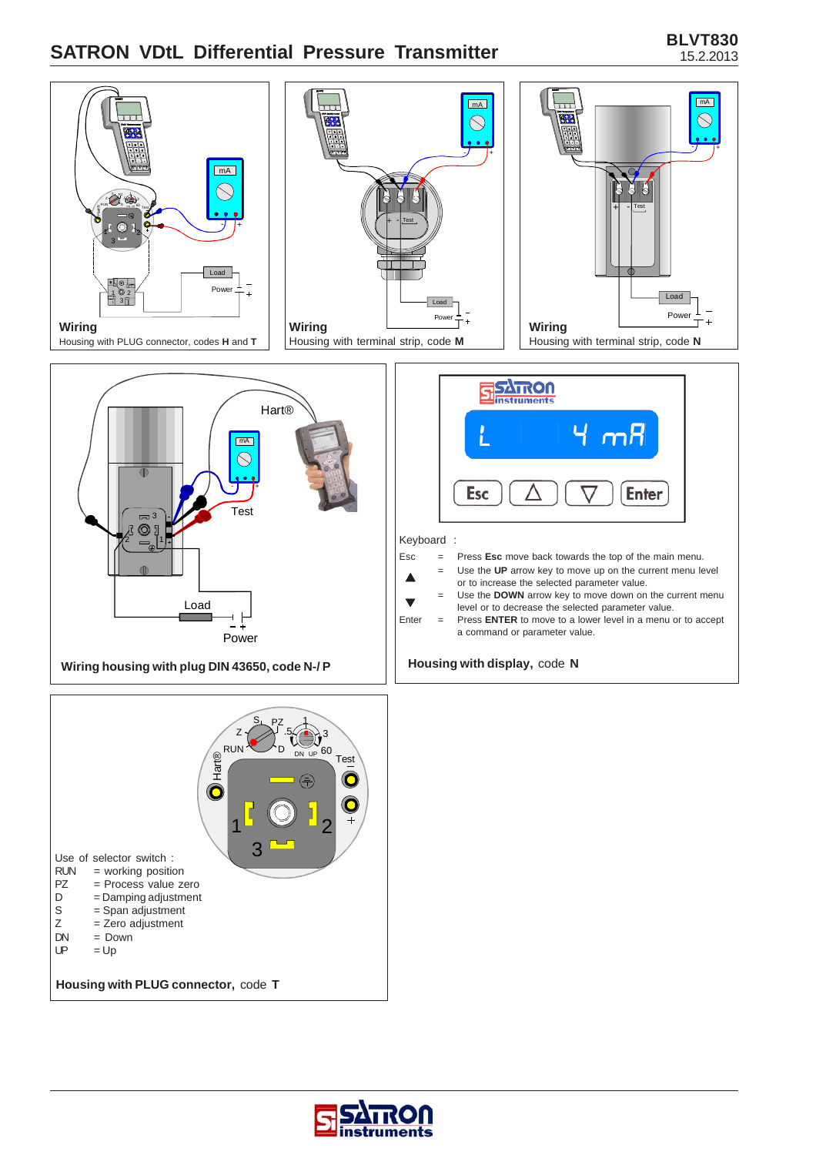![](_page_5_Figure_2.jpeg)

![](_page_5_Picture_3.jpeg)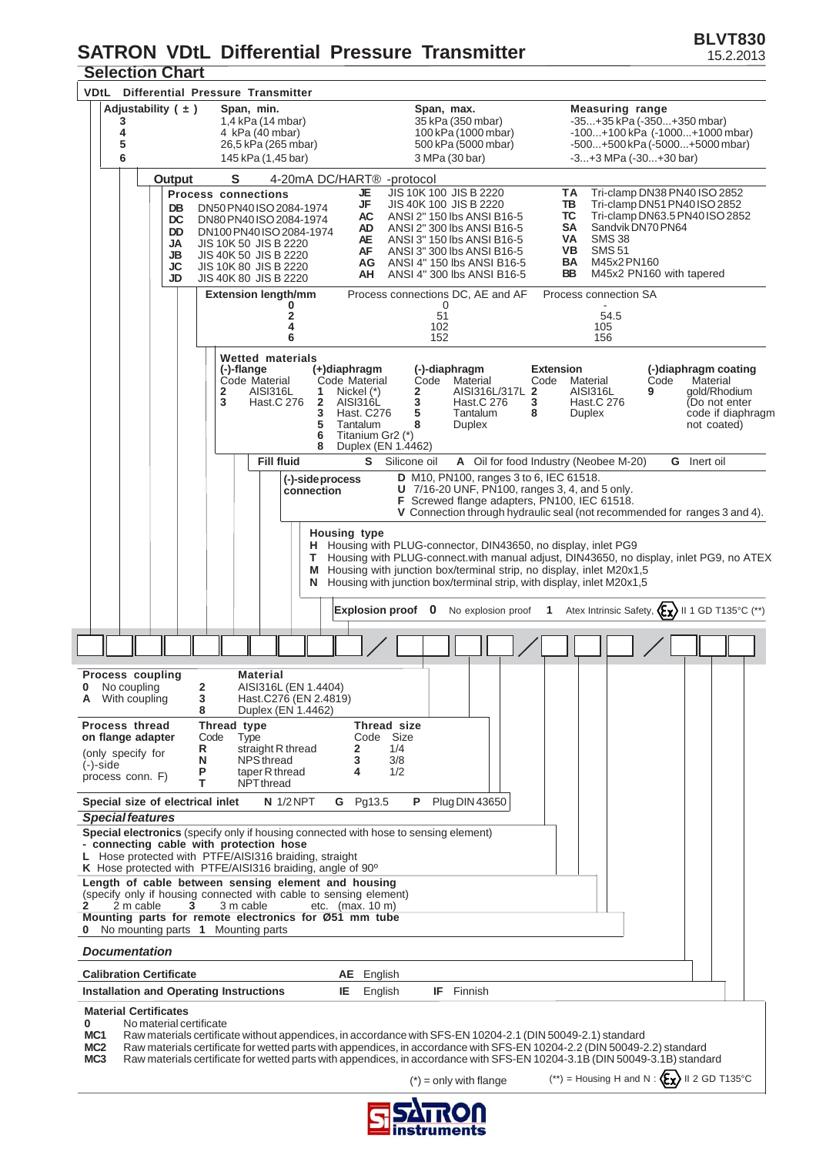## **Selection Chart SATRON VDtL Differential Pressure Transmitter**

| JEIEULIUII UIIAI l<br>Differential Pressure Transmitter<br>VDtL                                                                                                                                                                                                                                                                                                                                                                                               |                                                                                                                                                                                                                                                                                       |                                                                                                                                                                                                                                                   |
|---------------------------------------------------------------------------------------------------------------------------------------------------------------------------------------------------------------------------------------------------------------------------------------------------------------------------------------------------------------------------------------------------------------------------------------------------------------|---------------------------------------------------------------------------------------------------------------------------------------------------------------------------------------------------------------------------------------------------------------------------------------|---------------------------------------------------------------------------------------------------------------------------------------------------------------------------------------------------------------------------------------------------|
| Adjustability $( \pm )$<br>Span, min.<br>1,4 kPa (14 mbar)<br>3<br>4<br>4 kPa (40 mbar)<br>5<br>26,5 kPa (265 mbar)<br>6<br>145 kPa (1,45 bar)                                                                                                                                                                                                                                                                                                                | Span, max.<br>35 kPa (350 mbar)<br>100 kPa (1000 mbar)<br>500 kPa (5000 mbar)<br>3 MPa (30 bar)                                                                                                                                                                                       | <b>Measuring range</b><br>-35+35 kPa (-350+350 mbar)<br>$-100+100$ kPa $(-1000+1000$ mbar)<br>$-500+500$ kPa $(-5000+5000$ mbar)<br>$-3+3$ MPa $(-30+30$ bar)                                                                                     |
| S<br>Output                                                                                                                                                                                                                                                                                                                                                                                                                                                   | 4-20mA DC/HART <sup>®</sup> -protocol                                                                                                                                                                                                                                                 |                                                                                                                                                                                                                                                   |
| <b>Process connections</b><br>DN50 PN40 ISO 2084-1974<br>DB<br>DC<br>DN80 PN40 ISO 2084-1974<br>DD<br>DN100 PN40 ISO 2084-1974<br>JA<br>JIS 10K 50 JIS B 2220<br>JB<br>JIS 40K 50 JIS B 2220<br>JC<br><b>JIS 10K 80 JIS B 2220</b><br>JD<br>JIS 40K 80 JIS B 2220                                                                                                                                                                                             | JIS 10K 100 JIS B 2220<br>JE<br>JF<br>JIS 40K 100 JIS B 2220<br>AC<br>ANSI 2" 150 lbs ANSI B16-5<br>ANSI 2" 300 lbs ANSI B16-5<br>AD.<br>AE<br>ANSI 3" 150 lbs ANSI B16-5<br>AF<br>ANSI 3" 300 lbs ANSI B16-5<br>ANSI 4" 150 lbs ANSI B16-5<br>AG<br>ANSI 4" 300 lbs ANSI B16-5<br>AH | ΤA<br>Tri-clamp DN38 PN40 ISO 2852<br>TB<br>Tri-clamp DN51 PN40 ISO 2852<br>ТС<br>Tri-clamp DN63.5 PN40 ISO 2852<br>SA<br>Sandvik DN70 PN64<br>VA<br><b>SMS 38</b><br>VB.<br><b>SMS 51</b><br>BA<br>M45x2 PN160<br>BB<br>M45x2 PN160 with tapered |
| <b>Extension length/mm</b><br>2<br>4<br>6                                                                                                                                                                                                                                                                                                                                                                                                                     | Process connections DC, AE and AF<br>0<br>51<br>102<br>152                                                                                                                                                                                                                            | Process connection SA<br>54.5<br>105<br>156                                                                                                                                                                                                       |
| Wetted materials<br>(-)-flange<br>Code Material<br>$\overline{2}$<br>AISI316L<br>1<br>3<br>$\overline{\mathbf{2}}$<br>Hast.C 276<br>3<br>5<br>6<br>8                                                                                                                                                                                                                                                                                                          | (-)-diaphragm<br>(+)diaphragm<br>Code Material<br>Material<br>Code<br>AISI316L/317L 2<br>2<br>Nickel (*)<br>3<br>AISI316L<br>Hast.C 276<br>3<br>5<br>Tantalum<br>Hast. C276<br>8<br>Tantalum<br>8<br>Duplex<br>Titanium Gr2 (*)<br>Duplex (EN 1.4462)                                 | <b>Extension</b><br>(-)diaphragm coating<br>Code<br>Material<br>Code<br>Material<br><b>AISI316L</b><br>qold/Rhodium<br>9<br>Hast.C 276<br>(Do not enter<br>code if diaphragm<br>Duplex<br>not coated)                                             |
| <b>Fill fluid</b><br>(-)-side process<br>connection                                                                                                                                                                                                                                                                                                                                                                                                           | S Silicone oil<br>D M10, PN100, ranges 3 to 6, IEC 61518.<br>U 7/16-20 UNF, PN100, ranges 3, 4, and 5 only.<br>F Screwed flange adapters, PN100, IEC 61518.                                                                                                                           | A Oil for food Industry (Neobee M-20)<br><b>G</b> Inert oil<br>V Connection through hydraulic seal (not recommended for ranges 3 and 4).                                                                                                          |
| т<br>М<br>N                                                                                                                                                                                                                                                                                                                                                                                                                                                   | <b>Housing type</b><br>H Housing with PLUG-connector, DIN43650, no display, inlet PG9<br>Housing with junction box/terminal strip, no display, inlet M20x1,5<br>Housing with junction box/terminal strip, with display, inlet M20x1,5<br>Explosion proof 0<br>No explosion proof      | Housing with PLUG-connect.with manual adjust, DIN43650, no display, inlet PG9, no ATEX<br>Atex Intrinsic Safety, $\langle \xi \chi \rangle$ II 1 GD T135°C (**)<br>1                                                                              |
|                                                                                                                                                                                                                                                                                                                                                                                                                                                               |                                                                                                                                                                                                                                                                                       |                                                                                                                                                                                                                                                   |
|                                                                                                                                                                                                                                                                                                                                                                                                                                                               |                                                                                                                                                                                                                                                                                       |                                                                                                                                                                                                                                                   |
| <b>Process coupling</b><br><b>Material</b><br>2<br>AISI316L (EN 1.4404)<br><b>0</b> No coupling<br><b>A</b> With coupling<br>3<br>Hast.C276 (EN 2.4819)<br>Duplex (EN 1.4462)<br>8<br>Process thread<br>Thread type<br>Code<br>on flange adapter<br>Type<br>straight R thread<br>R<br>(only specify for<br>N<br>NPS thread                                                                                                                                    | Thread size<br>Code Size<br>1/4<br>2<br>3<br>3/8                                                                                                                                                                                                                                      |                                                                                                                                                                                                                                                   |
| (-)-side<br>taper R thread<br>Ρ<br>process conn. F)<br>т<br>NPT thread                                                                                                                                                                                                                                                                                                                                                                                        | 1/2<br>4                                                                                                                                                                                                                                                                              |                                                                                                                                                                                                                                                   |
| $N$ 1/2 NPT<br>Special size of electrical inlet<br><b>Special features</b><br>Special electronics (specify only if housing connected with hose to sensing element)<br>- connecting cable with protection hose<br>L Hose protected with PTFE/AISI316 braiding, straight                                                                                                                                                                                        | <b>Plug DIN 43650</b><br>G Pg13.5<br>P.                                                                                                                                                                                                                                               |                                                                                                                                                                                                                                                   |
| K Hose protected with PTFE/AISI316 braiding, angle of 90°<br>Length of cable between sensing element and housing<br>(specify only if housing connected with cable to sensing element)<br>2 m cable<br>3 m cable<br>2<br>3<br>Mounting parts for remote electronics for Ø51 mm tube<br>No mounting parts 1 Mounting parts                                                                                                                                      | etc. $(max. 10 m)$                                                                                                                                                                                                                                                                    |                                                                                                                                                                                                                                                   |
| <b>Documentation</b>                                                                                                                                                                                                                                                                                                                                                                                                                                          |                                                                                                                                                                                                                                                                                       |                                                                                                                                                                                                                                                   |
| <b>Calibration Certificate</b>                                                                                                                                                                                                                                                                                                                                                                                                                                | AE English                                                                                                                                                                                                                                                                            |                                                                                                                                                                                                                                                   |
| Installation and Operating Instructions<br><b>Material Certificates</b>                                                                                                                                                                                                                                                                                                                                                                                       | <b>IF</b> Finnish<br>IE.<br>English                                                                                                                                                                                                                                                   |                                                                                                                                                                                                                                                   |
| 0<br>No material certificate<br>Raw materials certificate without appendices, in accordance with SFS-EN 10204-2.1 (DIN 50049-2.1) standard<br>MC <sub>1</sub><br>MC <sub>2</sub><br>Raw materials certificate for wetted parts with appendices, in accordance with SFS-EN 10204-2.2 (DIN 50049-2.2) standard<br>MC <sub>3</sub><br>Raw materials certificate for wetted parts with appendices, in accordance with SFS-EN 10204-3.1B (DIN 50049-3.1B) standard | $(*)$ = only with flange                                                                                                                                                                                                                                                              | (**) = Housing H and N : $\langle \mathbf{E} \rangle$ II 2 GD T135°C                                                                                                                                                                              |

![](_page_6_Picture_3.jpeg)